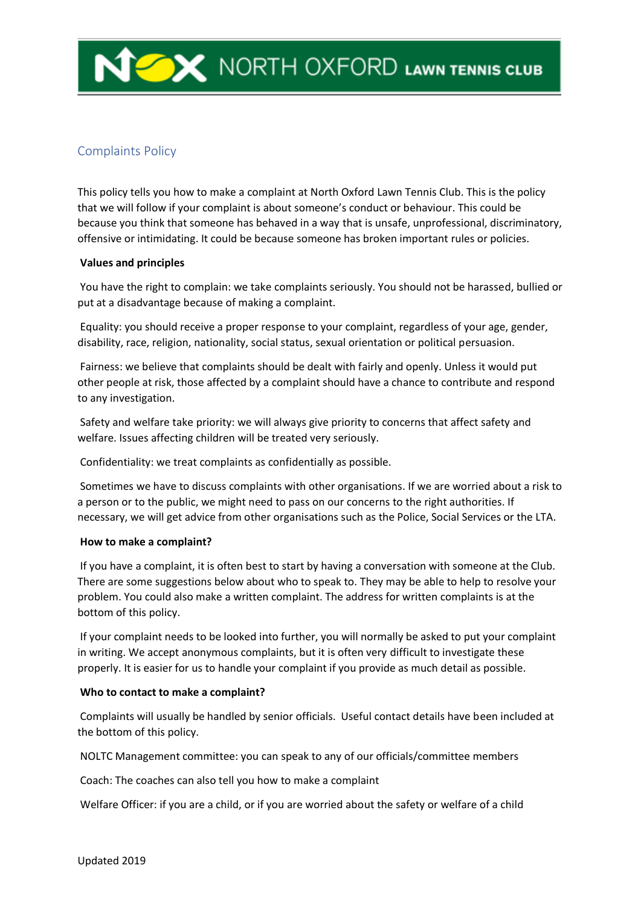# Complaints Policy

This policy tells you how to make a complaint at North Oxford Lawn Tennis Club. This is the policy that we will follow if your complaint is about someone's conduct or behaviour. This could be because you think that someone has behaved in a way that is unsafe, unprofessional, discriminatory, offensive or intimidating. It could be because someone has broken important rules or policies.

## **Values and principles**

You have the right to complain: we take complaints seriously. You should not be harassed, bullied or put at a disadvantage because of making a complaint.

Equality: you should receive a proper response to your complaint, regardless of your age, gender, disability, race, religion, nationality, social status, sexual orientation or political persuasion.

Fairness: we believe that complaints should be dealt with fairly and openly. Unless it would put other people at risk, those affected by a complaint should have a chance to contribute and respond to any investigation.

Safety and welfare take priority: we will always give priority to concerns that affect safety and welfare. Issues affecting children will be treated very seriously.

Confidentiality: we treat complaints as confidentially as possible.

Sometimes we have to discuss complaints with other organisations. If we are worried about a risk to a person or to the public, we might need to pass on our concerns to the right authorities. If necessary, we will get advice from other organisations such as the Police, Social Services or the LTA.

## **How to make a complaint?**

If you have a complaint, it is often best to start by having a conversation with someone at the Club. There are some suggestions below about who to speak to. They may be able to help to resolve your problem. You could also make a written complaint. The address for written complaints is at the bottom of this policy.

If your complaint needs to be looked into further, you will normally be asked to put your complaint in writing. We accept anonymous complaints, but it is often very difficult to investigate these properly. It is easier for us to handle your complaint if you provide as much detail as possible.

## **Who to contact to make a complaint?**

Complaints will usually be handled by senior officials. Useful contact details have been included at the bottom of this policy.

NOLTC Management committee: you can speak to any of our officials/committee members

Coach: The coaches can also tell you how to make a complaint

Welfare Officer: if you are a child, or if you are worried about the safety or welfare of a child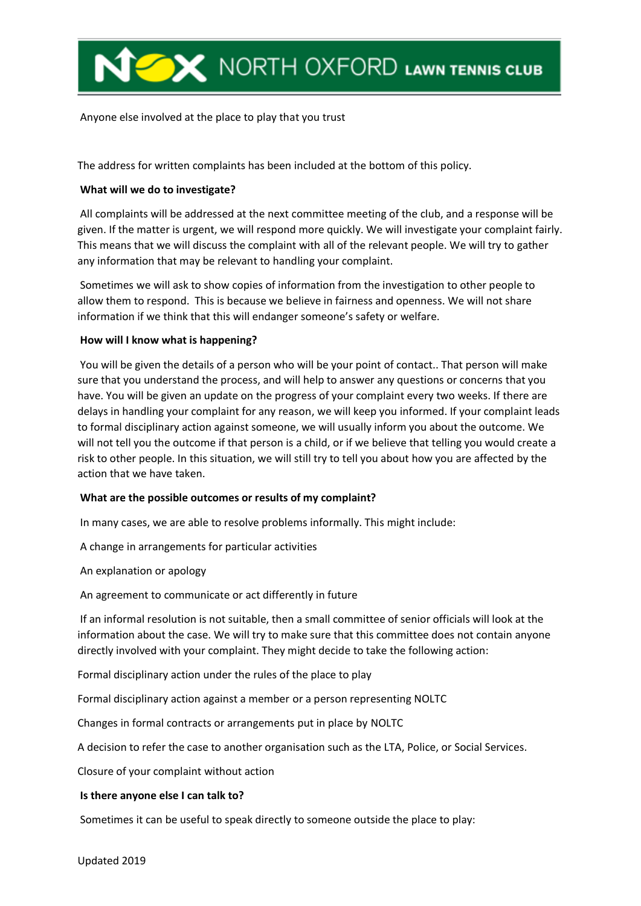

Anyone else involved at the place to play that you trust

The address for written complaints has been included at the bottom of this policy.

## **What will we do to investigate?**

All complaints will be addressed at the next committee meeting of the club, and a response will be given. If the matter is urgent, we will respond more quickly. We will investigate your complaint fairly. This means that we will discuss the complaint with all of the relevant people. We will try to gather any information that may be relevant to handling your complaint.

Sometimes we will ask to show copies of information from the investigation to other people to allow them to respond. This is because we believe in fairness and openness. We will not share information if we think that this will endanger someone's safety or welfare.

## **How will I know what is happening?**

You will be given the details of a person who will be your point of contact.. That person will make sure that you understand the process, and will help to answer any questions or concerns that you have. You will be given an update on the progress of your complaint every two weeks. If there are delays in handling your complaint for any reason, we will keep you informed. If your complaint leads to formal disciplinary action against someone, we will usually inform you about the outcome. We will not tell you the outcome if that person is a child, or if we believe that telling you would create a risk to other people. In this situation, we will still try to tell you about how you are affected by the action that we have taken.

## **What are the possible outcomes or results of my complaint?**

In many cases, we are able to resolve problems informally. This might include:

A change in arrangements for particular activities

An explanation or apology

An agreement to communicate or act differently in future

If an informal resolution is not suitable, then a small committee of senior officials will look at the information about the case. We will try to make sure that this committee does not contain anyone directly involved with your complaint. They might decide to take the following action:

Formal disciplinary action under the rules of the place to play

Formal disciplinary action against a member or a person representing NOLTC

Changes in formal contracts or arrangements put in place by NOLTC

A decision to refer the case to another organisation such as the LTA, Police, or Social Services.

Closure of your complaint without action

## **Is there anyone else I can talk to?**

Sometimes it can be useful to speak directly to someone outside the place to play: